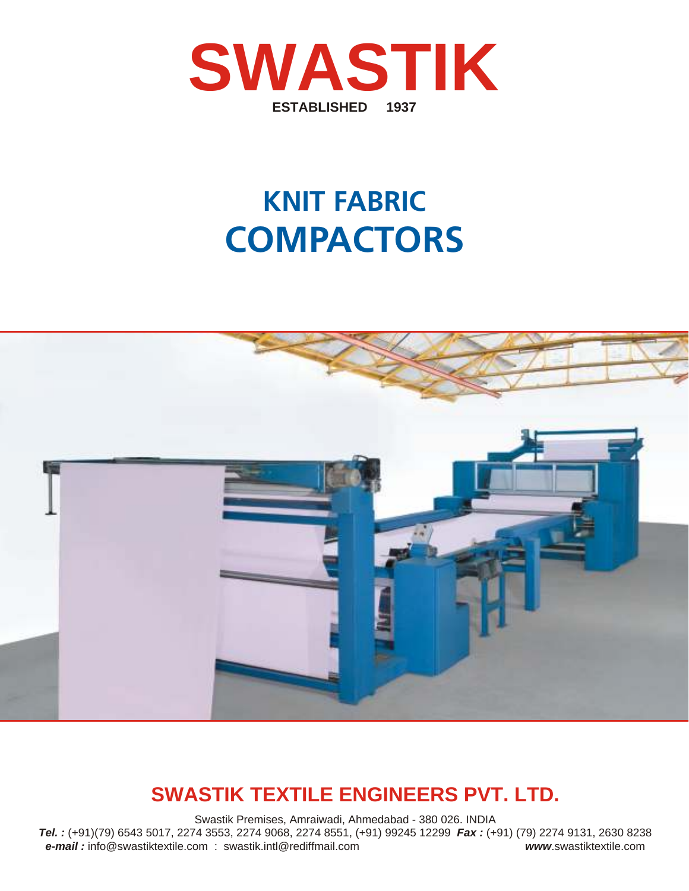

# **KNIT FABRIC COMPACTORS**



## **SWASTIK TEXTILE ENGINEERS PVT. LTD.**

Swastik Premises, Amraiwadi, Ahmedabad - 380 026. INDIA *Tel. :* (+91)(79) 6543 5017, 2274 3553, 2274 9068, 2274 8551, (+91) 99245 12299 *Fax :* (+91) (79) 2274 9131, 2630 8238 *e-mail :* info@swastiktextile.com : swastik.intl@rediffmail.com *www*.swastiktextile.com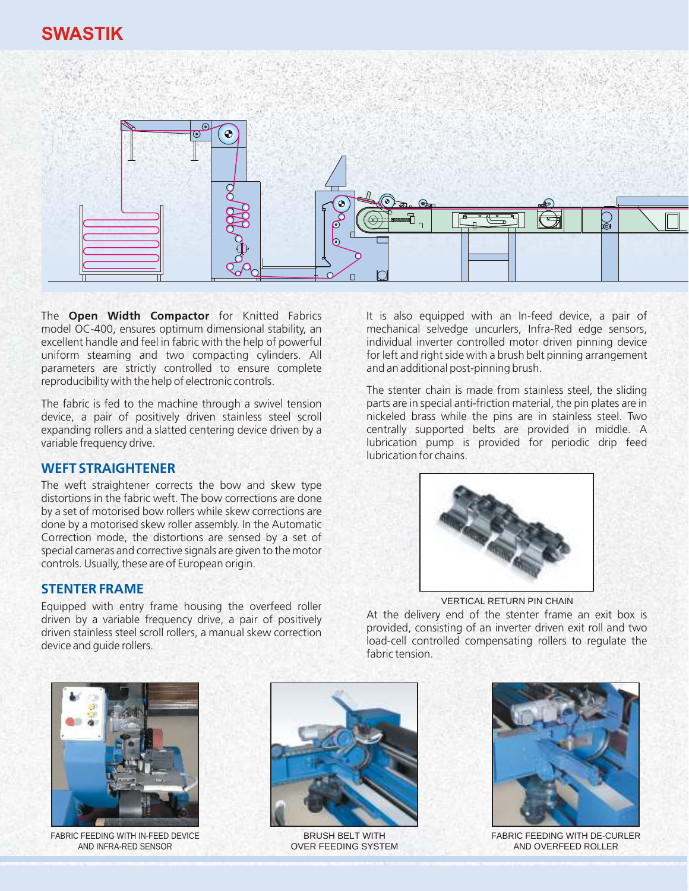### **SWASTIK**



The **Open Width Compactor** for Knitted Fabrics model OC-400, ensures optimum dimensional stability, an excellent handle and feel in fabric with the help of powerful uniform steaming and two compacting cylinders. All parameters are strictly controlled to ensure complete reproducibility with the help of electronic controls.

The fabric is fed to the machine through a swivel tension device, a pair of positively driven stainless steel scroll expanding rollers and a slatted centering device driven by a variable frequency drive.

#### **WEFT STRAIGHTENER**

The weft straightener corrects the bow and skew type distortions in the fabric weft. The bow corrections are done by a set of motorised bow rollers while skew corrections are done by a motorised skew roller assembly. In the Automatic Correction mode, the distortions are sensed by a set of special cameras and corrective signals are given to the motor controls. Usually, these are of European origin.

#### **STENTER FRAME**

Equipped with entry frame housing the overfeed roller driven by a variable frequency drive, a pair of positively driven stainless steel scroll rollers, a manual skew correction device and guide rollers.

It is also equipped with an In-feed device, a pair of mechanical selvedge uncurlers, Infra-Red edge sensors, individual inverter controlled motor driven pinning device for left and right side with a brush belt pinning arrangement and an additional post-pinning brush.

The stenter chain is made from stainless steel, the sliding parts are in special anti-friction material, the pin plates are in nickeled brass while the pins are in stainless steel. Two centrally supported belts are provided in middle. A lubrication pump is provided for periodic drip feed lubrication for chains.



VERTICAL RETURN PIN CHAIN

At the delivery end of the stenter frame an exit box is provided, consisting of an inverter driven exit roll and two load-cell controlled compensating rollers to regulate the fabric tension.



FABRIC FEEDING WITH IN-FEED DEVICE AND INFRA-RED SENSOR



BRUSH BELT WITH OVER FEEDING SYSTEM



FABRIC FEEDING WITH DE-CURLER AND OVERFEED ROLLER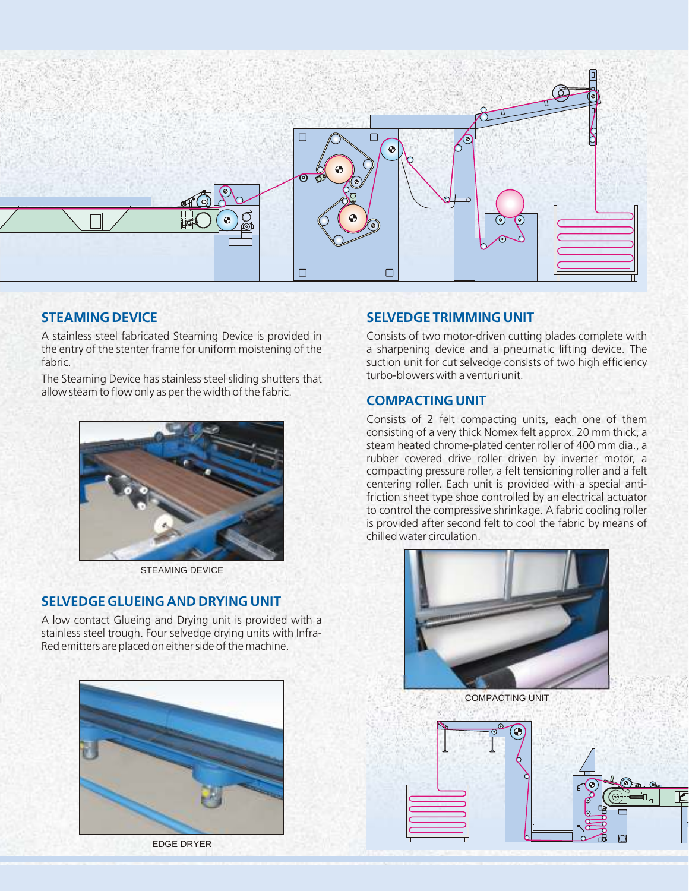

#### **STEAMING DEVICE**

A stainless steel fabricated Steaming Device is provided in the entry of the stenter frame for uniform moistening of the fabric.

The Steaming Device has stainless steel sliding shutters that allow steam to flow only as per the width of the fabric.



STEAMING DEVICE

#### **SELVEDGE GLUEING AND DRYING UNIT**

A low contact Glueing and Drying unit is provided with a stainless steel trough. Four selvedge drying units with Infra-Red emitters are placed on either side of the machine.



EDGE DRYER

#### **SELVEDGE TRIMMING UNIT**

Consists of two motor-driven cutting blades complete with a sharpening device and a pneumatic lifting device. The suction unit for cut selvedge consists of two high efficiency turbo-blowers with a venturi unit.

#### **COMPACTING UNIT**

Consists of 2 felt compacting units, each one of them consisting of a very thick Nomex felt approx. 20 mm thick, a steam heated chrome-plated center roller of 400 mm dia., a rubber covered drive roller driven by inverter motor, a compacting pressure roller, a felt tensioning roller and a felt centering roller. Each unit is provided with a special antifriction sheet type shoe controlled by an electrical actuator to control the compressive shrinkage. A fabric cooling roller is provided after second felt to cool the fabric by means of chilled water circulation.



COMPACTING UNIT

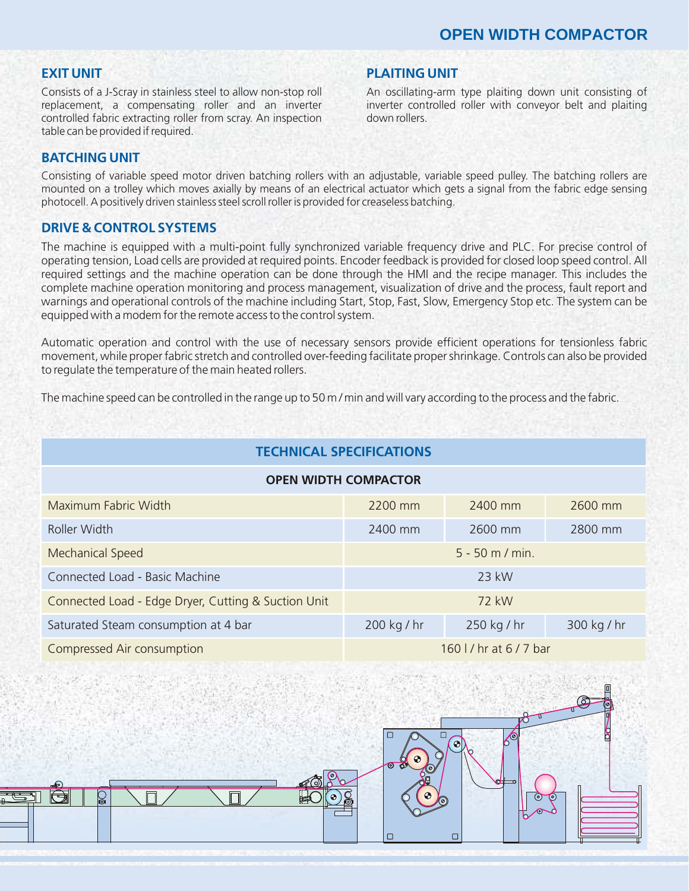#### **EXIT UNIT**

Consists of a J-Scray in stainless steel to allow non-stop roll replacement, a compensating roller and an inverter controlled fabric extracting roller from scray. An inspection table can be provided if required.

#### **PLAITING UNIT**

An oscillating-arm type plaiting down unit consisting of inverter controlled roller with conveyor belt and plaiting down rollers.

#### **BATCHING UNIT**

Consisting of variable speed motor driven batching rollers with an adjustable, variable speed pulley. The batching rollers are mounted on a trolley which moves axially by means of an electrical actuator which gets a signal from the fabric edge sensing photocell. A positively driven stainless steel scroll roller is provided for creaseless batching.

#### **DRIVE & CONTROL SYSTEMS**

The machine is equipped with a multi-point fully synchronized variable frequency drive and PLC. For precise control of operating tension, Load cells are provided at required points. Encoder feedback is provided for closed loop speed control. All required settings and the machine operation can be done through the HMI and the recipe manager. This includes the complete machine operation monitoring and process management, visualization of drive and the process, fault report and warnings and operational controls of the machine including Start, Stop, Fast, Slow, Emergency Stop etc. The system can be equipped with a modem for the remote access to the control system.

Automatic operation and control with the use of necessary sensors provide efficient operations for tensionless fabric movement, while proper fabric stretch and controlled over-feeding facilitate proper shrinkage. Controls can also be provided to regulate the temperature of the main heated rollers.

The machine speed can be controlled in the range up to 50 m / min and will vary according to the process and the fabric.

| <b>TECHNICAL SPECIFICATIONS</b>                     |                         |             |             |
|-----------------------------------------------------|-------------------------|-------------|-------------|
| <b>OPEN WIDTH COMPACTOR</b>                         |                         |             |             |
| Maximum Fabric Width                                | 2200 mm                 | 2400 mm     | 2600 mm     |
| Roller Width                                        | 2400 mm                 | 2600 mm     | 2800 mm     |
| Mechanical Speed                                    | $5 - 50$ m / min.       |             |             |
| Connected Load - Basic Machine                      | 23 kW                   |             |             |
| Connected Load - Edge Dryer, Cutting & Suction Unit | 72 kW                   |             |             |
| Saturated Steam consumption at 4 bar                | 200 kg / hr             | 250 kg / hr | 300 kg / hr |
| Compressed Air consumption                          | 160   / hr at 6 / 7 bar |             |             |

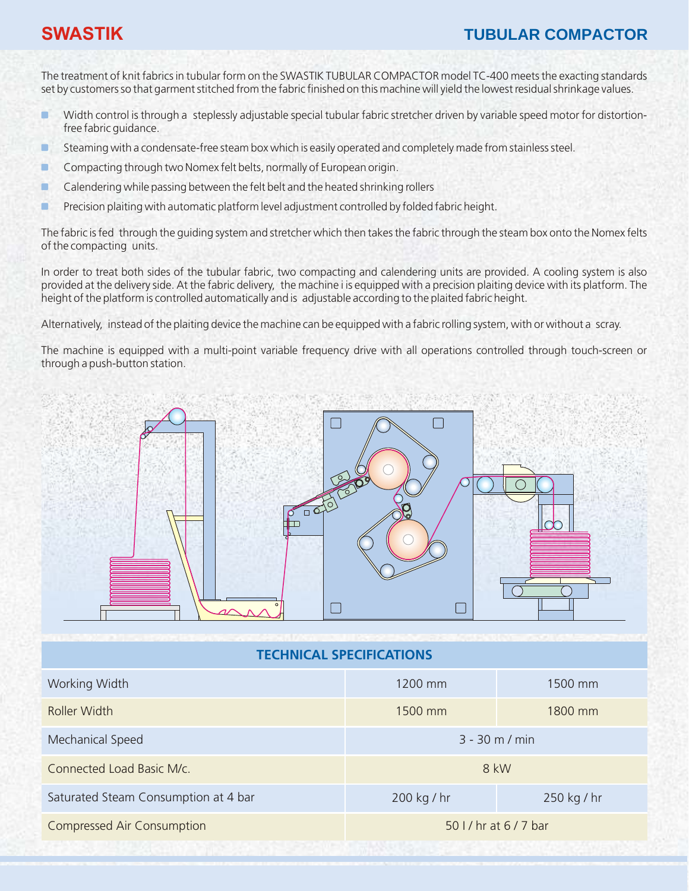#### **SWASTIK TUBULAR COMPACTOR**

The treatment of knit fabrics in tubular form on the SWASTIK TUBULAR COMPACTOR model TC-400 meets the exacting standards set by customers so that garment stitched from the fabric finished on this machine will yield the lowest residual shrinkage values.

- п Width control is through a steplessly adjustable special tubular fabric stretcher driven by variable speed motor for distortionfree fabric guidance.
- г Steaming with a condensate-free steam box which is easily operated and completely made from stainless steel.
- г Compacting through two Nomex felt belts, normally of European origin.
- Calendering while passing between the felt belt and the heated shrinking rollers г
- Precision plaiting with automatic platform level adjustment controlled by folded fabric height. г

The fabric is fed through the guiding system and stretcher which then takes the fabric through the steam box onto the Nomex felts of the compacting units.

In order to treat both sides of the tubular fabric, two compacting and calendering units are provided. A cooling system is also provided at the delivery side. At the fabric delivery, the machine i is equipped with a precision plaiting device with its platform. The height of the platform is controlled automatically and is adjustable according to the plaited fabric height.

Alternatively, instead of the plaiting device the machine can be equipped with a fabric rolling system, with or without a scray.

The machine is equipped with a multi-point variable frequency drive with all operations controlled through touch-screen or through a push-button station.



**TECHNICAL SPECIFICATIONS**

| $3 - 30$ m / min       |  |  |
|------------------------|--|--|
| 8 kW                   |  |  |
|                        |  |  |
| 50 I / hr at 6 / 7 bar |  |  |
|                        |  |  |